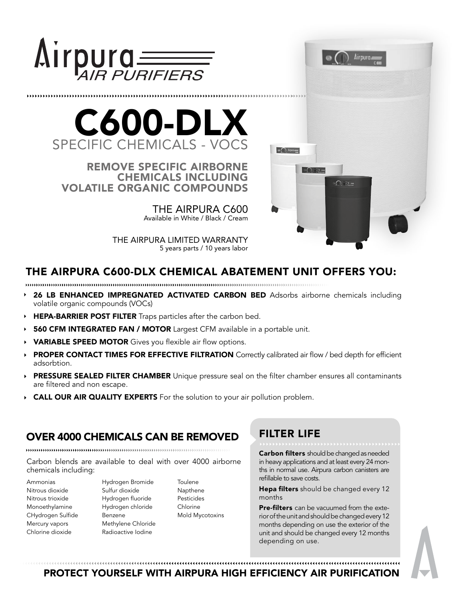

...................................



REMOVE SPECIFIC AIRBORNE CHEMICALS INCLUDING VOLATILE ORGANIC COMPOUNDS

> THE AIRPURA C600 Available in White / Black / Cream

THE AIRPURA LIMITED WARRANTY 5 years parts / 10 years labor



# THE AIRPURA C600-DLX CHEMICAL ABATEMENT UNIT OFFERS YOU:

- 26 LB ENHANCED IMPREGNATED ACTIVATED CARBON BED Adsorbs airborne chemicals including volatile organic compounds (VOCs)
- HEPA-BARRIER POST FILTER Traps particles after the carbon bed.
- **560 CFM INTEGRATED FAN / MOTOR** Largest CFM available in a portable unit.
- VARIABLE SPEED MOTOR Gives you flexible air flow options.
- PROPER CONTACT TIMES FOR EFFECTIVE FILTRATION Correctly calibrated air flow / bed depth for efficient adsorbtion.
- **PRESSURE SEALED FILTER CHAMBER** Unique pressure seal on the filter chamber ensures all contaminants are filtered and non escape.
- CALL OUR AIR QUALITY EXPERTS For the solution to your air pollution problem.

## OVER 4000 CHEMICALS CAN BE REMOVED

Carbon blends are available to deal with over 4000 airborne chemicals including:

- Ammonias Nitrous dioxide Nitrous trioxide Monoethylamine CHydrogen Sulfide Mercury vapors Chlorine dioxide
- Hydrogen Bromide Sulfur dioxide Hydrogen fluoride Hydrogen chloride Benzene Methylene Chloride Radioactive Iodine
- **Toulene** Napthene Pesticides Chlorine Mold Mycotoxins

# FILTER LIFE

**Carbon filters** should be changed as needed in heavy applications and at least every 24 months in normal use. Airpura carbon canisters are refillable to save costs.

Hepa filters should be changed every 12 months

Pre-filters can be vacuumed from the exterior of the unit and should be changed every 12 months depending on use the exterior of the unit and should be changed every 12 months depending on use.

PROTECT YOURSELF WITH AIRPURA HIGH EFFICIENCY AIR PURIFICATION